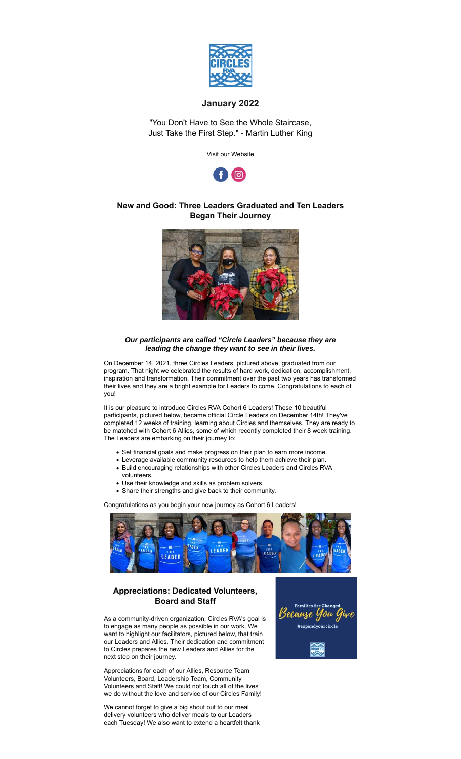

## **January 2022**

"You Don't Have to See the Whole Staircase, Just Take the First Step." - Martin Luther King

Visit our Website



## **New and Good: Three Leaders Graduated and Ten Leaders Began Their Journey**



## *Our participants are called "Circle Leaders" because they are leading the change they want to see in their lives.*

On December 14, 2021, three Circles Leaders, pictured above, graduated from our program. That night we celebrated the results of hard work, dedication, accomplishment, inspiration and transformation. Their commitment over the past two years has transformed their lives and they are a bright example for Leaders to come. Congratulations to each of you!

It is our pleasure to introduce Circles RVA Cohort 6 Leaders! These 10 beautiful participants, pictured below, became official Circle Leaders on December 14th! They've completed 12 weeks of training, learning about Circles and themselves. They are ready to be matched with Cohort 6 Allies, some of which recently completed their 8 week training. The Leaders are embarking on their journey to:

- Set financial goals and make progress on their plan to earn more income.
- Leverage available community resources to help them achieve their plan.
- Build encouraging relationships with other Circles Leaders and Circles RVA volunteers.
- Use their knowledge and skills as problem solvers.
- Share their strengths and give back to their community.

Congratulations as you begin your new journey as Cohort 6 Leaders!



## **Appreciations: Dedicated Volunteers, Board and Staff**

As a community-driven organization, Circles RVA's goal is to engage as many people as possible in our work. We want to highlight our facilitators, pictured below, that train our Leaders and Allies. Their dedication and commitment to Circles prepares the new Leaders and Allies for the next step on their journey.

Appreciations for each of our Allies, Resource Team Volunteers, Board, Leadership Team, Community Volunteers and Staff! We could not touch all of the lives we do without the love and service of our Circles Family!

We cannot forget to give a big shout out to our meal delivery volunteers who deliver meals to our Leaders each Tuesday! We also want to extend a heartfelt thank